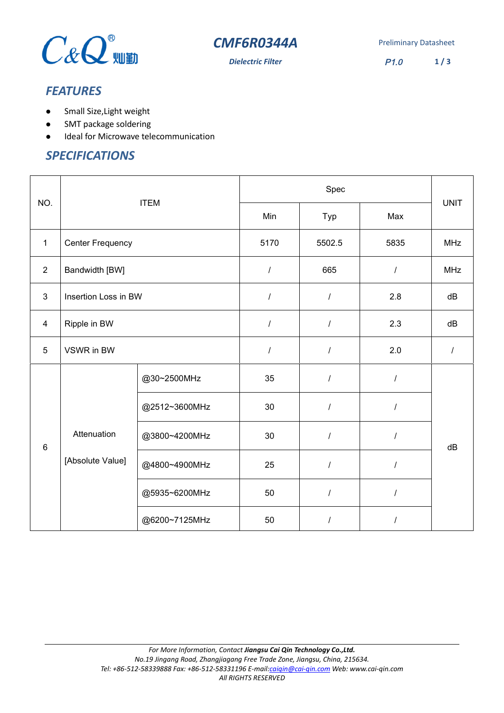



### *FEATURES*

- Small Size,Light weight
- SMT package soldering
- $\bullet$  Ideal for Microwave telecommunication

#### *SPECIFICATIONS*

|                | <b>ITEM</b>             |               | Spec             |                      |          |             |
|----------------|-------------------------|---------------|------------------|----------------------|----------|-------------|
| NO.            |                         |               | Min              | Typ                  | Max      | <b>UNIT</b> |
| $\mathbf{1}$   | <b>Center Frequency</b> |               | 5170             | 5502.5               | 5835     | <b>MHz</b>  |
| $\overline{2}$ | Bandwidth [BW]          |               | $\boldsymbol{I}$ | 665                  | $\prime$ | <b>MHz</b>  |
| 3              | Insertion Loss in BW    |               | $\cal I$         | $\prime$             | 2.8      | dB          |
| $\overline{4}$ | Ripple in BW            |               | $\boldsymbol{I}$ | $\overline{I}$       | 2.3      | dB          |
| 5              | VSWR in BW              |               | $\boldsymbol{I}$ | $\prime$             | 2.0      | $\prime$    |
| $6\phantom{1}$ |                         | @30~2500MHz   | 35               | $\sqrt{\phantom{a}}$ | $\prime$ |             |
|                |                         | @2512~3600MHz | 30               | $\prime$             | $\prime$ |             |
|                | Attenuation             | @3800~4200MHz | 30               | $\overline{I}$       | $\prime$ | dB          |
|                | [Absolute Value]        | @4800~4900MHz | 25               | $\prime$             | 1        |             |
|                |                         | @5935~6200MHz | 50               | $\overline{I}$       | 1        |             |
|                |                         | @6200~7125MHz | 50               | $\prime$             | I        |             |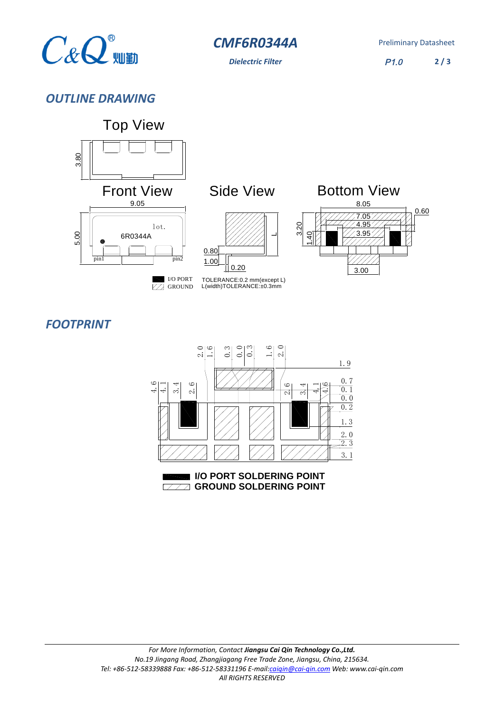

**CMF6R0344A** Preliminary Datasheet

*Dielectric Filter* P1.0 **2 / 3**

# *OUTLINE DRAWING*



# *FOOTPRINT*